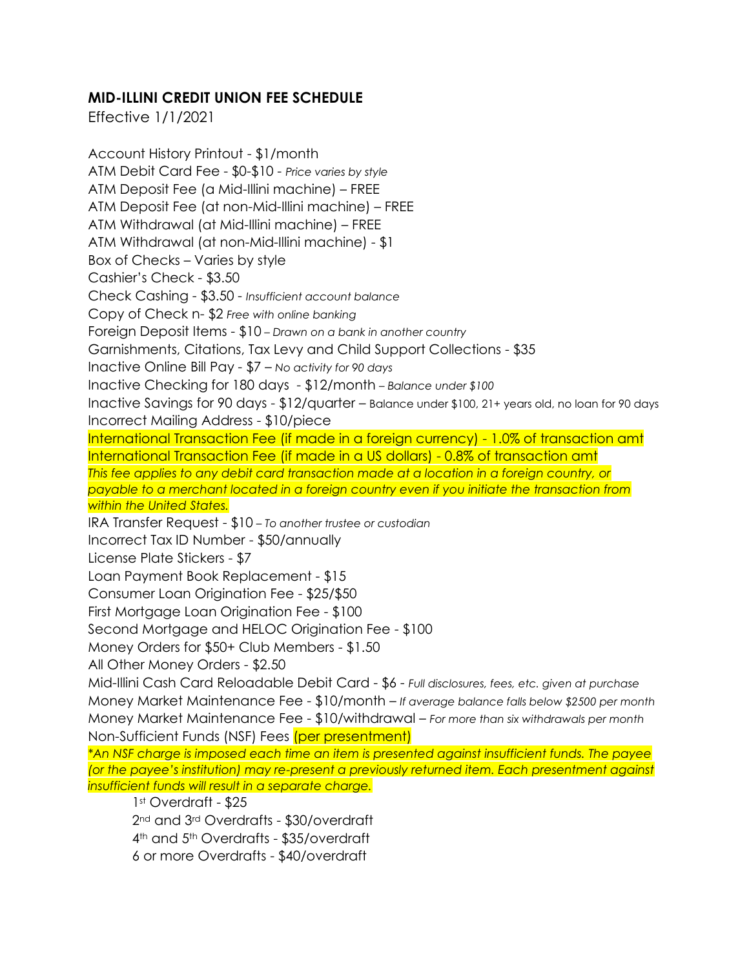## **MID-ILLINI CREDIT UNION FEE SCHEDULE**

Effective 1/1/2021

Account History Printout - \$1/month ATM Debit Card Fee - \$0-\$10 - *Price varies by style* ATM Deposit Fee (a Mid-Illini machine) – FREE ATM Deposit Fee (at non-Mid-Illini machine) – FREE ATM Withdrawal (at Mid-Illini machine) – FREE ATM Withdrawal (at non-Mid-Illini machine) - \$1 Box of Checks – Varies by style Cashier's Check - \$3.50 Check Cashing - \$3.50 - *Insufficient account balance* Copy of Check n- \$2 *Free with online banking* Foreign Deposit Items - \$10 *– Drawn on a bank in another country* Garnishments, Citations, Tax Levy and Child Support Collections - \$35 Inactive Online Bill Pay - \$7 – *No activity for 90 days* Inactive Checking for 180 days - \$12/month *– Balance under \$100* Inactive Savings for 90 days - \$12/quarter – Balance under \$100, 21+ years old, no loan for 90 days Incorrect Mailing Address - \$10/piece International Transaction Fee (if made in a foreign currency) - 1.0% of transaction amt International Transaction Fee (if made in a US dollars) - 0.8% of transaction amt *This fee applies to any debit card transaction made at a location in a foreign country, or payable to a merchant located in a foreign country even if you initiate the transaction from within the United States.* IRA Transfer Request - \$10 – *To another trustee or custodian* Incorrect Tax ID Number - \$50/annually License Plate Stickers - \$7 Loan Payment Book Replacement - \$15 Consumer Loan Origination Fee - \$25/\$50 First Mortgage Loan Origination Fee - \$100 Second Mortgage and HELOC Origination Fee - \$100 Money Orders for \$50+ Club Members - \$1.50 All Other Money Orders - \$2.50 Mid-Illini Cash Card Reloadable Debit Card - \$6 - *Full disclosures, fees, etc. given at purchase* Money Market Maintenance Fee - \$10/month – *If average balance falls below \$2500 per month* Money Market Maintenance Fee - \$10/withdrawal – *For more than six withdrawals per month* Non-Sufficient Funds (NSF) Fees (per presentment) *\*An NSF charge is imposed each time an item is presented against insufficient funds. The payee (or the payee's institution) may re-present a previously returned item. Each presentment against insufficient funds will result in a separate charge.* 1st Overdraft - \$25 2nd and 3rd Overdrafts - \$30/overdraft 4th and 5th Overdrafts - \$35/overdraft

6 or more Overdrafts - \$40/overdraft